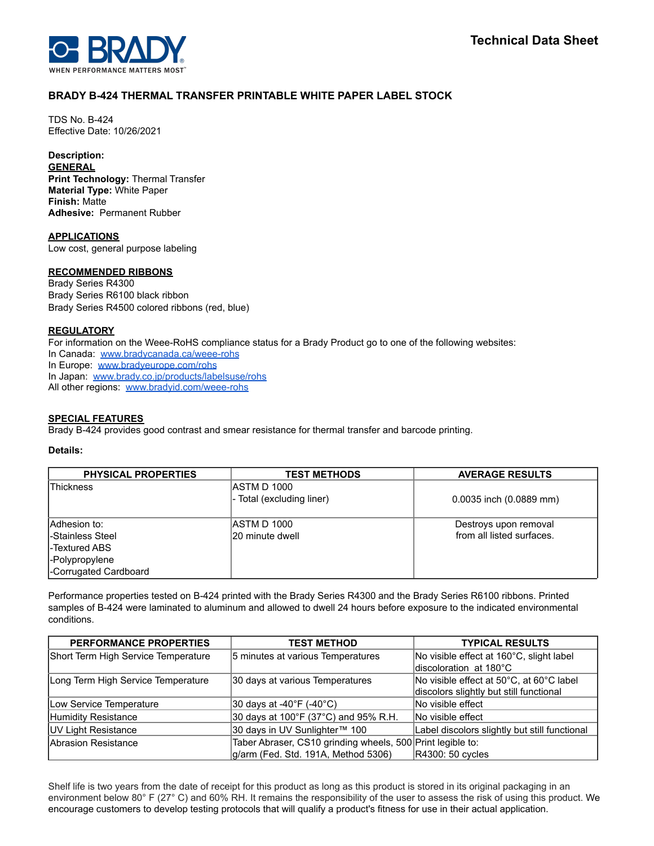

## **BRADY B-424 THERMAL TRANSFER PRINTABLE WHITE PAPER LABEL STOCK**

TDS No. B-424 Effective Date: 10/26/2021

# **Description:**

**GENERAL Print Technology:** Thermal Transfer **Material Type:** White Paper **Finish:** Matte **Adhesive:** Permanent Rubber

**APPLICATIONS** Low cost, general purpose labeling

## **RECOMMENDED RIBBONS**

Brady Series R4300 Brady Series R6100 black ribbon Brady Series R4500 colored ribbons (red, blue)

## **REGULATORY**

For information on the Weee-RoHS compliance status for a Brady Product go to one of the following websites:

In Canada: [www.bradycanada.ca/weee-rohs](http://www.bradycanada.ca/weee-rohs)

In Europe: [www.bradyeurope.com/rohs](http://www.bradyeurope.com/rohs)

In Japan: www.[brady.co.jp/products/labelsuse/rohs](https://brady.co.jp/products/labelsuse/rohs)

All other regions: [www.bradyid.com/weee-rohs](http://www.bradyid.com/weee-rohs)

## **SPECIAL FEATURES**

Brady B-424 provides good contrast and smear resistance for thermal transfer and barcode printing.

## **Details:**

| <b>PHYSICAL PROPERTIES</b> | <b>TEST METHODS</b>       | <b>AVERAGE RESULTS</b>    |
|----------------------------|---------------------------|---------------------------|
| lThickness                 | <b>JASTM D 1000</b>       |                           |
|                            | - Total (excluding liner) | 0.0035 inch (0.0889 mm)   |
|                            |                           |                           |
| Adhesion to:               | IASTM D 1000              | Destroys upon removal     |
| I-Stainless Steel          | 20 minute dwell           | from all listed surfaces. |
| -Textured ABS              |                           |                           |
| -Polypropylene             |                           |                           |
| -Corrugated Cardboard      |                           |                           |

Performance properties tested on B-424 printed with the Brady Series R4300 and the Brady Series R6100 ribbons. Printed samples of B-424 were laminated to aluminum and allowed to dwell 24 hours before exposure to the indicated environmental conditions.

| <b>PERFORMANCE PROPERTIES</b>       | <b>TEST METHOD</b>                                         | <b>TYPICAL RESULTS</b>                                             |
|-------------------------------------|------------------------------------------------------------|--------------------------------------------------------------------|
| Short Term High Service Temperature | 5 minutes at various Temperatures                          | No visible effect at 160°C, slight label<br>discoloration at 180°C |
|                                     |                                                            |                                                                    |
| Long Term High Service Temperature  | 30 days at various Temperatures                            | No visible effect at 50°C, at 60°C label                           |
|                                     |                                                            | discolors slightly but still functional                            |
| Low Service Temperature             | 30 days at -40°F (-40°C)                                   | INo visible effect                                                 |
| Humidity Resistance                 | 30 days at 100°F (37°C) and 95% R.H.                       | No visible effect                                                  |
| <b>UV Light Resistance</b>          | 30 days in UV Sunlighter™ 100                              | Label discolors slightly but still functional                      |
| <b>Abrasion Resistance</b>          | Taber Abraser, CS10 grinding wheels, 500 Print legible to: |                                                                    |
|                                     | g/arm (Fed. Std. 191A, Method 5306)                        | R4300: 50 cycles                                                   |

Shelf life is two years from the date of receipt for this product as long as this product is stored in its original packaging in an environment below 80° F (27° C) and 60% RH. It remains the responsibility of the user to assess the risk of using this product. We encourage customers to develop testing protocols that will qualify a product's fitness for use in their actual application.